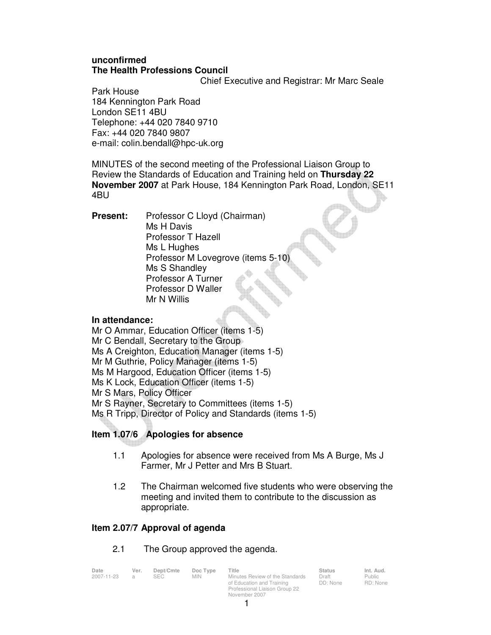## **unconfirmed The Health Professions Council**

Chief Executive and Registrar: Mr Marc Seale

Park House 184 Kennington Park Road London SE11 4BU Telephone: +44 020 7840 9710 Fax: +44 020 7840 9807 e-mail: colin.bendall@hpc-uk.org

MINUTES of the second meeting of the Professional Liaison Group to Review the Standards of Education and Training held on **Thursday 22 November 2007** at Park House, 184 Kennington Park Road, London, SE11 4BU

**Present:** Professor C Lloyd (Chairman) Ms H Davis Professor T Hazell Ms L Hughes Professor M Lovegrove (items 5-10) Ms S Shandley Professor A Turner Professor D Waller Mr N Willis

## **In attendance:**

Mr O Ammar, Education Officer (items 1-5) Mr C Bendall, Secretary to the Group Ms A Creighton, Education Manager (items 1-5) Mr M Guthrie, Policy Manager (items 1-5) Ms M Hargood, Education Officer (items 1-5) Ms K Lock, Education Officer (items 1-5) Mr S Mars, Policy Officer Mr S Rayner, Secretary to Committees (items 1-5) Ms R Tripp, Director of Policy and Standards (items 1-5)

# **Item 1.07/6 Apologies for absence**

- 1.1 Apologies for absence were received from Ms A Burge, Ms J Farmer, Mr J Petter and Mrs B Stuart.
- 1.2 The Chairman welcomed five students who were observing the meeting and invited them to contribute to the discussion as appropriate.

# **Item 2.07/7 Approval of agenda**

## 2.1 The Group approved the agenda.

| Date       | Ver.           | Dept/Cmte  | Doc Type | Title                           | <b>Status</b> | Int. Aud. |
|------------|----------------|------------|----------|---------------------------------|---------------|-----------|
| 2007-11-23 | $\overline{a}$ | <b>SEC</b> | MIN.     | Minutes Review of the Standards | Draft         | Public    |
|            |                |            |          | of Education and Training       | DD: None      | RD: Non   |
|            |                |            |          | Professional Liaison Group 22   |               |           |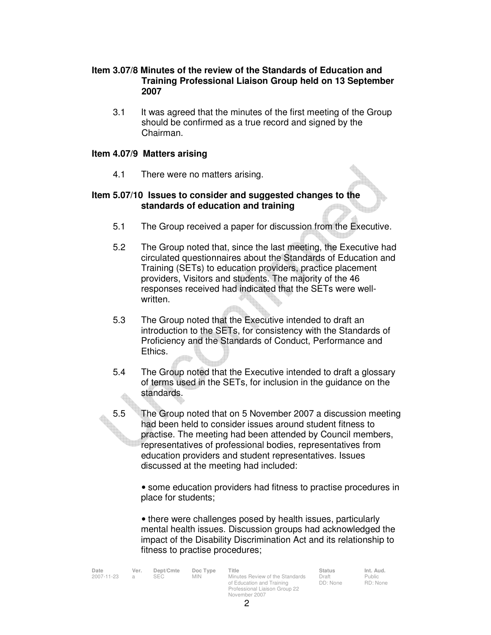### **Item 3.07/8 Minutes of the review of the Standards of Education and Training Professional Liaison Group held on 13 September 2007**

 3.1 It was agreed that the minutes of the first meeting of the Group should be confirmed as a true record and signed by the Chairman.

### **Item 4.07/9 Matters arising**

4.1 There were no matters arising.

### **Item 5.07/10 Issues to consider and suggested changes to the standards of education and training**

- 5.1 The Group received a paper for discussion from the Executive.
- 5.2 The Group noted that, since the last meeting, the Executive had circulated questionnaires about the Standards of Education and Training (SETs) to education providers, practice placement providers, Visitors and students. The majority of the 46 responses received had indicated that the SETs were wellwritten.
- 5.3 The Group noted that the Executive intended to draft an introduction to the SETs, for consistency with the Standards of Proficiency and the Standards of Conduct, Performance and Ethics.
- 5.4 The Group noted that the Executive intended to draft a glossary of terms used in the SETs, for inclusion in the guidance on the standards.
- 5.5 The Group noted that on 5 November 2007 a discussion meeting had been held to consider issues around student fitness to practise. The meeting had been attended by Council members, representatives of professional bodies, representatives from education providers and student representatives. Issues discussed at the meeting had included:

• some education providers had fitness to practise procedures in place for students;

• there were challenges posed by health issues, particularly mental health issues. Discussion groups had acknowledged the impact of the Disability Discrimination Act and its relationship to fitness to practise procedures;

| Date       | Ver. | Dept/Cmte  | Doc Type   | Title                           | <b>Status</b> | Int. Aud. |
|------------|------|------------|------------|---------------------------------|---------------|-----------|
| 2007-11-23 |      | <b>SEC</b> | <b>MIN</b> | Minutes Review of the Standards | Draft         | Public    |
|            |      |            |            | of Education and Training       | DD: None      | RD: Non   |

2007-2014<br>2007-2014 Minutes Review of the Standards of Education and Training Professional Liaison Group 22 November 2007

Draft DD: None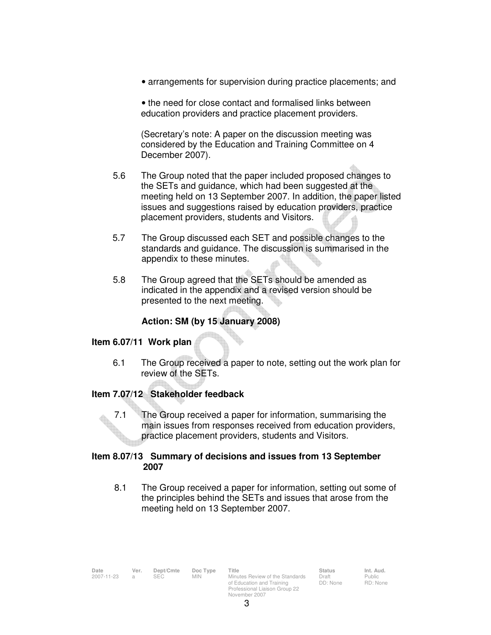• arrangements for supervision during practice placements; and

• the need for close contact and formalised links between education providers and practice placement providers.

(Secretary's note: A paper on the discussion meeting was considered by the Education and Training Committee on 4 December 2007).

- 5.6 The Group noted that the paper included proposed changes to the SETs and guidance, which had been suggested at the meeting held on 13 September 2007. In addition, the paper listed issues and suggestions raised by education providers, practice placement providers, students and Visitors.
- 5.7 The Group discussed each SET and possible changes to the standards and guidance. The discussion is summarised in the appendix to these minutes.
- 5.8 The Group agreed that the SETs should be amended as indicated in the appendix and a revised version should be presented to the next meeting.

### **Action: SM (by 15 January 2008)**

### **Item 6.07/11 Work plan**

 6.1 The Group received a paper to note, setting out the work plan for review of the SETs.

### **Item 7.07/12 Stakeholder feedback**

7.1 The Group received a paper for information, summarising the main issues from responses received from education providers, practice placement providers, students and Visitors.

### **Item 8.07/13 Summary of decisions and issues from 13 September 2007**

8.1 The Group received a paper for information, setting out some of the principles behind the SETs and issues that arose from the meeting held on 13 September 2007.

| Date         | Ver. | Dept/Cmte  | Doc Type   | Title                           | Status | Int. Aud.                   |
|--------------|------|------------|------------|---------------------------------|--------|-----------------------------|
| 2007-11-23 a |      | <b>SEC</b> | <b>MIN</b> | Minutes Review of the Standards | Draft  | Public                      |
|              |      |            |            |                                 |        | $\sim$ $\sim$ $\sim$ $\sim$ |

of Education and Training Professional Liaison Group 22 November 2007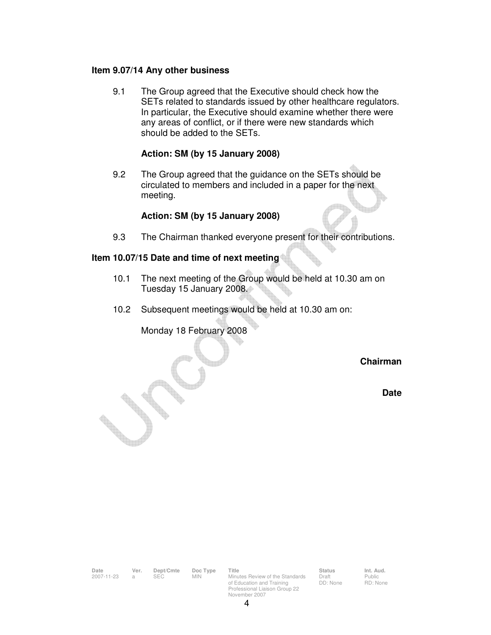#### **Item 9.07/14 Any other business**

 9.1 The Group agreed that the Executive should check how the SETs related to standards issued by other healthcare regulators. In particular, the Executive should examine whether there were any areas of conflict, or if there were new standards which should be added to the SETs.

### **Action: SM (by 15 January 2008)**

 9.2 The Group agreed that the guidance on the SETs should be circulated to members and included in a paper for the next meeting.

#### **Action: SM (by 15 January 2008)**

9.3 The Chairman thanked everyone present for their contributions.

## **Item 10.07/15 Date and time of next meeting**

- 10.1 The next meeting of the Group would be held at 10.30 am on Tuesday 15 January 2008.
- 10.2 Subsequent meetings would be held at 10.30 am on:

### Monday 18 February 2008

#### **Chairman**

**Date** 

| Date<br>2007-11-23 | Ver.<br>a | Dept/Cmte<br><b>SEC</b> | Doc Type<br><b>MIN</b>                                                      | Title<br>Minutes Review of the Standards | <b>Status</b><br>Draft | Int. Aud.<br>Public |
|--------------------|-----------|-------------------------|-----------------------------------------------------------------------------|------------------------------------------|------------------------|---------------------|
|                    |           |                         | of Education and Training<br>Professional Liaison Group 22<br>November 2007 | DD: None                                 | RD: None               |                     |
|                    |           |                         |                                                                             |                                          |                        |                     |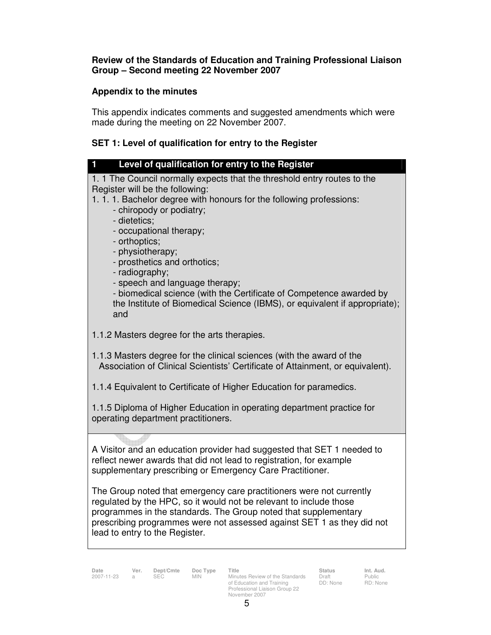### **Review of the Standards of Education and Training Professional Liaison Group – Second meeting 22 November 2007**

## **Appendix to the minutes**

This appendix indicates comments and suggested amendments which were made during the meeting on 22 November 2007.

# **SET 1: Level of qualification for entry to the Register**

| Level of qualification for entry to the Register                                                                                                                                                                                                                                                                                                                                                                                                                                                                                              |
|-----------------------------------------------------------------------------------------------------------------------------------------------------------------------------------------------------------------------------------------------------------------------------------------------------------------------------------------------------------------------------------------------------------------------------------------------------------------------------------------------------------------------------------------------|
| 1. 1 The Council normally expects that the threshold entry routes to the<br>Register will be the following:<br>1.1.1. Bachelor degree with honours for the following professions:<br>- chiropody or podiatry;<br>- dietetics:<br>- occupational therapy;<br>- orthoptics;<br>- physiotherapy;<br>- prosthetics and orthotics;<br>- radiography;<br>- speech and language therapy;<br>- biomedical science (with the Certificate of Competence awarded by<br>the Institute of Biomedical Science (IBMS), or equivalent if appropriate);<br>and |
| 1.1.2 Masters degree for the arts therapies.                                                                                                                                                                                                                                                                                                                                                                                                                                                                                                  |
| 1.1.3 Masters degree for the clinical sciences (with the award of the<br>Association of Clinical Scientists' Certificate of Attainment, or equivalent).                                                                                                                                                                                                                                                                                                                                                                                       |
| 1.1.4 Equivalent to Certificate of Higher Education for paramedics.                                                                                                                                                                                                                                                                                                                                                                                                                                                                           |
| 1.1.5 Diploma of Higher Education in operating department practice for<br>operating department practitioners.                                                                                                                                                                                                                                                                                                                                                                                                                                 |
| A Visitor and an education provider had suggested that SET 1 needed to<br>reflect newer awards that did not lead to registration, for example<br>supplementary prescribing or Emergency Care Practitioner.<br>The Group noted that emergency care practitioners were not currently<br>regulated by the HPC, so it would not be relevant to include those<br>programmes in the standards. The Group noted that supplementary                                                                                                                   |
| prescribing programmes were not assessed against SET 1 as they did not<br>lead to entry to the Register.                                                                                                                                                                                                                                                                                                                                                                                                                                      |

**Date Ver. Dept/Cmte Doc Type Title Status Int. Aud.** 2007-11-23 a SEC MIN Minutes Review of the Standards of Education and Training Professional Liaison Group 22 November 2007

Draft DD: None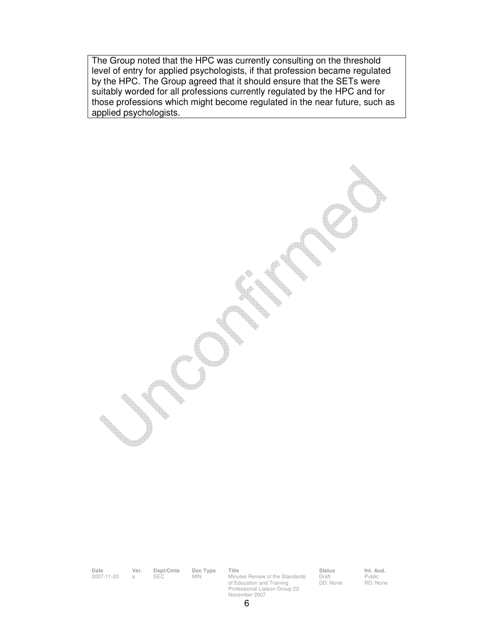The Group noted that the HPC was currently consulting on the threshold level of entry for applied psychologists, if that profession became regulated by the HPC. The Group agreed that it should ensure that the SETs were suitably worded for all professions currently regulated by the HPC and for those professions which might become regulated in the near future, such as applied psychologists.

**Date Ver. Dept/Cmte Doc Type Title Status Int. Aud.**

Date Ver. Dept/Cmte Doc Type Title<br>2007-11-23 a SEC MIN Minutes Review of the Standards of Education and Training Professional Liaison Group 22 November 2007

Draft DD: None

Public RD: None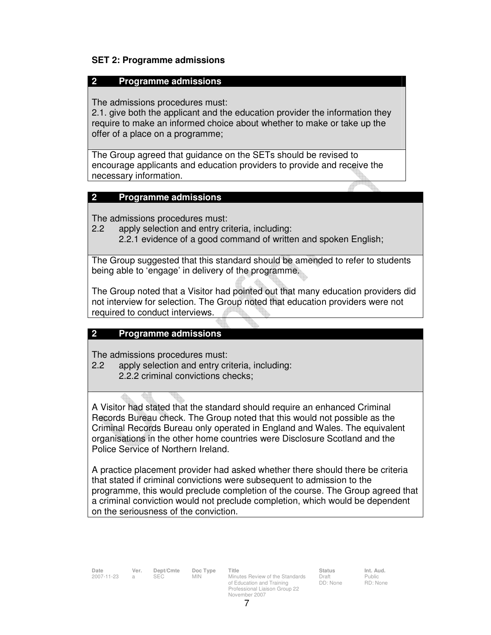### **SET 2: Programme admissions**

#### **2 Programme admissions**

The admissions procedures must:

2.1. give both the applicant and the education provider the information they require to make an informed choice about whether to make or take up the offer of a place on a programme;

The Group agreed that guidance on the SETs should be revised to encourage applicants and education providers to provide and receive the necessary information.

### **2 Programme admissions**

The admissions procedures must:

- 2.2 apply selection and entry criteria, including:
	- 2.2.1 evidence of a good command of written and spoken English;

The Group suggested that this standard should be amended to refer to students being able to 'engage' in delivery of the programme.

The Group noted that a Visitor had pointed out that many education providers did not interview for selection. The Group noted that education providers were not required to conduct interviews.

### **2 Programme admissions**

The admissions procedures must:

- 2.2 apply selection and entry criteria, including:
	- 2.2.2 criminal convictions checks;

A Visitor had stated that the standard should require an enhanced Criminal Records Bureau check. The Group noted that this would not possible as the Criminal Records Bureau only operated in England and Wales. The equivalent organisations in the other home countries were Disclosure Scotland and the Police Service of Northern Ireland.

A practice placement provider had asked whether there should there be criteria that stated if criminal convictions were subsequent to admission to the programme, this would preclude completion of the course. The Group agreed that a criminal conviction would not preclude completion, which would be dependent on the seriousness of the conviction.

**Date Ver. Dept/Cmte Doc Type Title Status Status Int. Aud.**<br>
2007-11-23 a SEC MIN Minutes Review of the Standards Draft Public Minutes Review of the Standards of Education and Training Professional Liaison Group 22 November 2007

Draft DD: None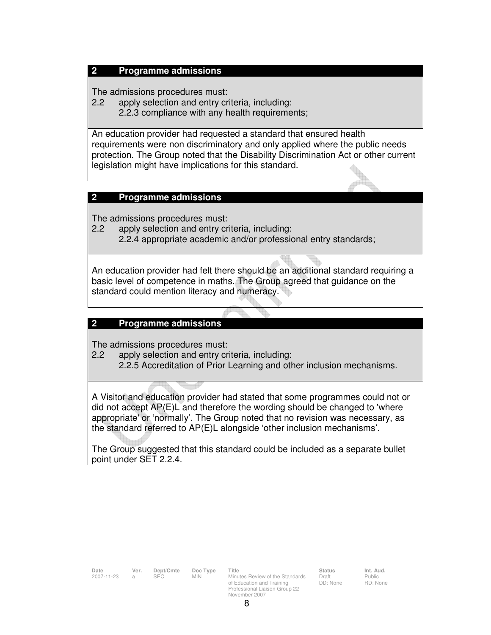### **2 Programme admissions**

The admissions procedures must:

- 2.2 apply selection and entry criteria, including:
	- 2.2.3 compliance with any health requirements;

An education provider had requested a standard that ensured health requirements were non discriminatory and only applied where the public needs protection. The Group noted that the Disability Discrimination Act or other current legislation might have implications for this standard.

### **2 Programme admissions**

The admissions procedures must:

2.2 apply selection and entry criteria, including: 2.2.4 appropriate academic and/or professional entry standards;

An education provider had felt there should be an additional standard requiring a basic level of competence in maths. The Group agreed that guidance on the standard could mention literacy and numeracy.

### **2 Programme admissions**

The admissions procedures must:

2.2 apply selection and entry criteria, including:

2.2.5 Accreditation of Prior Learning and other inclusion mechanisms.

A Visitor and education provider had stated that some programmes could not or did not accept AP(E)L and therefore the wording should be changed to 'where appropriate' or 'normally'. The Group noted that no revision was necessary, as the standard referred to AP(E)L alongside 'other inclusion mechanisms'.

The Group suggested that this standard could be included as a separate bullet point under SET 2.2.4.

| Date       | Ver.           | Dept/Cmte | Doc Type   | Title                                                                                                          | <b>Status</b>     | Int. Aud.          |
|------------|----------------|-----------|------------|----------------------------------------------------------------------------------------------------------------|-------------------|--------------------|
| 2007-11-23 | $\mathfrak{a}$ | SEC.      | <b>MIN</b> | Minutes Review of the Standards<br>of Education and Training<br>Professional Liaison Group 22<br>November 2007 | Draft<br>DD: None | Public<br>RD: None |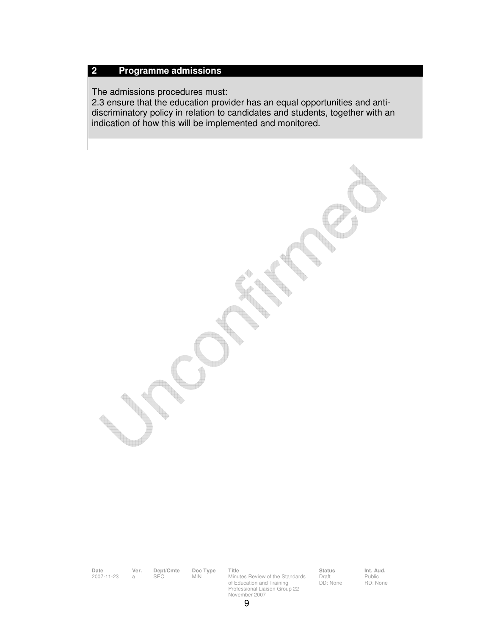#### **2 Programme admissions**

The admissions procedures must:

2.3 ensure that the education provider has an equal opportunities and antidiscriminatory policy in relation to candidates and students, together with an indication of how this will be implemented and monitored.

**Date Ver. Dept/Cmte Doc Type Title Status Int. Aud.** Date Ver. Dept/Cmte Doc Type Title<br>2007-11-23 a SEC MIN Minutes Review of the Standards of Education and Training Professional Liaison Group 22 November 2007

Draft DD: None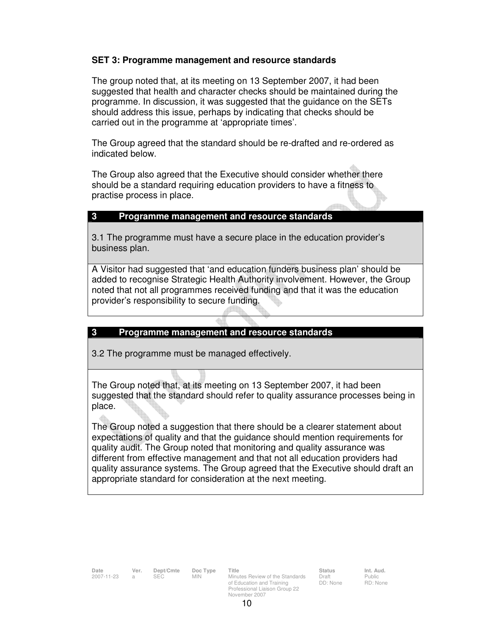### **SET 3: Programme management and resource standards**

The group noted that, at its meeting on 13 September 2007, it had been suggested that health and character checks should be maintained during the programme. In discussion, it was suggested that the guidance on the SETs should address this issue, perhaps by indicating that checks should be carried out in the programme at 'appropriate times'.

The Group agreed that the standard should be re-drafted and re-ordered as indicated below.

The Group also agreed that the Executive should consider whether there should be a standard requiring education providers to have a fitness to practise process in place.

### **3 Programme management and resource standards**

3.1 The programme must have a secure place in the education provider's business plan.

A Visitor had suggested that 'and education funders business plan' should be added to recognise Strategic Health Authority involvement. However, the Group noted that not all programmes received funding and that it was the education provider's responsibility to secure funding.

### **3 Programme management and resource standards**

3.2 The programme must be managed effectively.

The Group noted that, at its meeting on 13 September 2007, it had been suggested that the standard should refer to quality assurance processes being in place.

The Group noted a suggestion that there should be a clearer statement about expectations of quality and that the guidance should mention requirements for quality audit. The Group noted that monitoring and quality assurance was different from effective management and that not all education providers had quality assurance systems. The Group agreed that the Executive should draft an appropriate standard for consideration at the next meeting.

**Date Ver. Dept/Cmte Doc Type Title Status Status Int. Aud.**<br>
2007-11-23 a SEC MIN Minutes Review of the Standards Draft Public Minutes Review of the Standards of Education and Training Professional Liaison Group 22 November 2007

Draft DD: None Public RD: None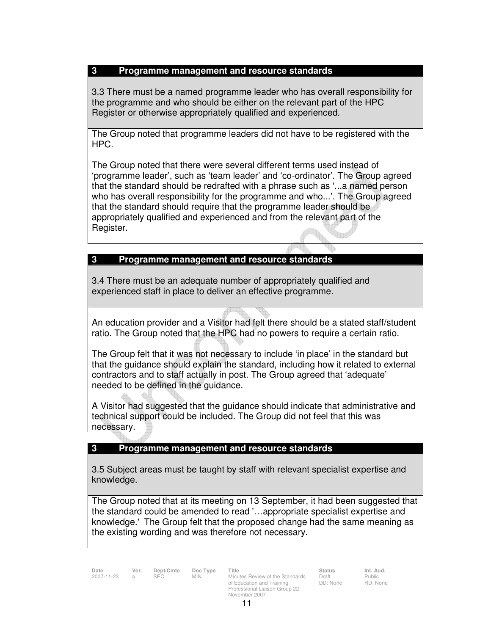### **3 Programme management and resource standards**

3.3 There must be a named programme leader who has overall responsibility for the programme and who should be either on the relevant part of the HPC Register or otherwise appropriately qualified and experienced.

The Group noted that programme leaders did not have to be registered with the HPC.

The Group noted that there were several different terms used instead of 'programme leader', such as 'team leader' and 'co-ordinator'. The Group agreed that the standard should be redrafted with a phrase such as '...a named person who has overall responsibility for the programme and who...'. The Group agreed that the standard should require that the programme leader should be appropriately qualified and experienced and from the relevant part of the Register.

## **3 Programme management and resource standards**

3.4 There must be an adequate number of appropriately qualified and experienced staff in place to deliver an effective programme.

An education provider and a Visitor had felt there should be a stated staff/student ratio. The Group noted that the HPC had no powers to require a certain ratio.

The Group felt that it was not necessary to include 'in place' in the standard but that the guidance should explain the standard, including how it related to external contractors and to staff actually in post. The Group agreed that 'adequate' needed to be defined in the guidance.

A Visitor had suggested that the guidance should indicate that administrative and technical support could be included. The Group did not feel that this was necessary.

### **3 Programme management and resource standards**

3.5 Subject areas must be taught by staff with relevant specialist expertise and knowledge.

The Group noted that at its meeting on 13 September, it had been suggested that the standard could be amended to read '…appropriate specialist expertise and knowledge.' The Group felt that the proposed change had the same meaning as the existing wording and was therefore not necessary.

**Date Ver. Dept/Cmte Doc Type Title Status Status Int. Aud.**<br>2007-11-23 a SEC MIN Minutes Review of the Standards Draft Public Minutes Review of the Standards of Education and Training Professional Liaison Group 22 November 2007

Draft DD: None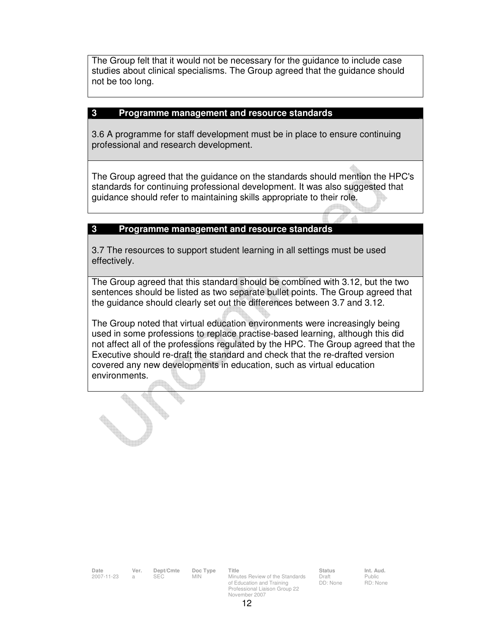The Group felt that it would not be necessary for the guidance to include case studies about clinical specialisms. The Group agreed that the guidance should not be too long.

#### **3 Programme management and resource standards**

3.6 A programme for staff development must be in place to ensure continuing professional and research development.

The Group agreed that the guidance on the standards should mention the HPC's standards for continuing professional development. It was also suggested that guidance should refer to maintaining skills appropriate to their role.

### **3 Programme management and resource standards**

3.7 The resources to support student learning in all settings must be used effectively.

The Group agreed that this standard should be combined with 3.12, but the two sentences should be listed as two separate bullet points. The Group agreed that the guidance should clearly set out the differences between 3.7 and 3.12.

The Group noted that virtual education environments were increasingly being used in some professions to replace practise-based learning, although this did not affect all of the professions regulated by the HPC. The Group agreed that the Executive should re-draft the standard and check that the re-drafted version covered any new developments in education, such as virtual education environments.

| Date       | Ver. | Dept/Cmte | Doc Type | Title                           | <b>Status</b> | Int. Aud. |
|------------|------|-----------|----------|---------------------------------|---------------|-----------|
| 2007-11-23 |      | SEC.      | MIN.     | Minutes Review of the Standards | Draft         | Public    |
|            |      |           |          | of Education and Training       | DD: None      | RD: Non   |
|            |      |           |          | Professional Liaison Group 22   |               |           |

Public RD: None

November 2007 12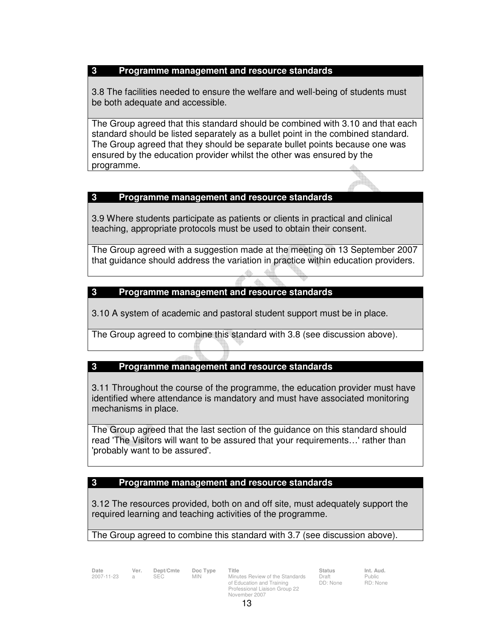### **3 Programme management and resource standards**

3.8 The facilities needed to ensure the welfare and well-being of students must be both adequate and accessible.

The Group agreed that this standard should be combined with 3.10 and that each standard should be listed separately as a bullet point in the combined standard. The Group agreed that they should be separate bullet points because one was ensured by the education provider whilst the other was ensured by the programme.

## **3 Programme management and resource standards**

3.9 Where students participate as patients or clients in practical and clinical teaching, appropriate protocols must be used to obtain their consent.

The Group agreed with a suggestion made at the meeting on 13 September 2007 that guidance should address the variation in practice within education providers.

### **3 Programme management and resource standards**

3.10 A system of academic and pastoral student support must be in place.

The Group agreed to combine this standard with 3.8 (see discussion above).

## **3 Programme management and resource standards**

3.11 Throughout the course of the programme, the education provider must have identified where attendance is mandatory and must have associated monitoring mechanisms in place.

The Group agreed that the last section of the guidance on this standard should read 'The Visitors will want to be assured that your requirements…' rather than 'probably want to be assured'.

## **3 Programme management and resource standards**

3.12 The resources provided, both on and off site, must adequately support the required learning and teaching activities of the programme.

### The Group agreed to combine this standard with 3.7 (see discussion above).

**Date Ver. Dept/Cmte Doc Type Title Status Status Int. Aud.**<br>
2007-11-23 a SEC MIN Minutes Review of the Standards Draft Public Minutes Review of the Standards of Education and Training Professional Liaison Group 22 November 2007

Draft DD: None Public RD: None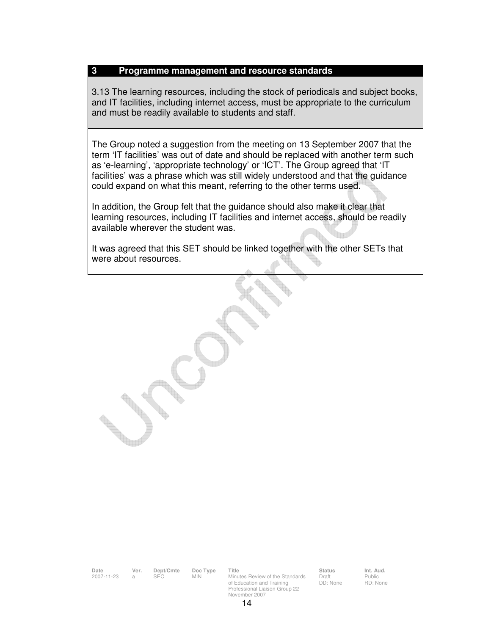#### **3 Programme management and resource standards**

3.13 The learning resources, including the stock of periodicals and subject books, and IT facilities, including internet access, must be appropriate to the curriculum and must be readily available to students and staff.

The Group noted a suggestion from the meeting on 13 September 2007 that the term 'IT facilities' was out of date and should be replaced with another term such as 'e-learning', 'appropriate technology' or 'ICT'. The Group agreed that 'IT facilities' was a phrase which was still widely understood and that the guidance could expand on what this meant, referring to the other terms used.

In addition, the Group felt that the guidance should also make it clear that learning resources, including IT facilities and internet access, should be readily available wherever the student was.

It was agreed that this SET should be linked together with the other SETs that were about resources.

**Date Ver. Dept/Cmte Doc Type Title Status Int. Aud.** 2007-11-23 a SEC MIN Minutes Review of the Standards

of Education and Training Professional Liaison Group 22 November 2007

Draft DD: None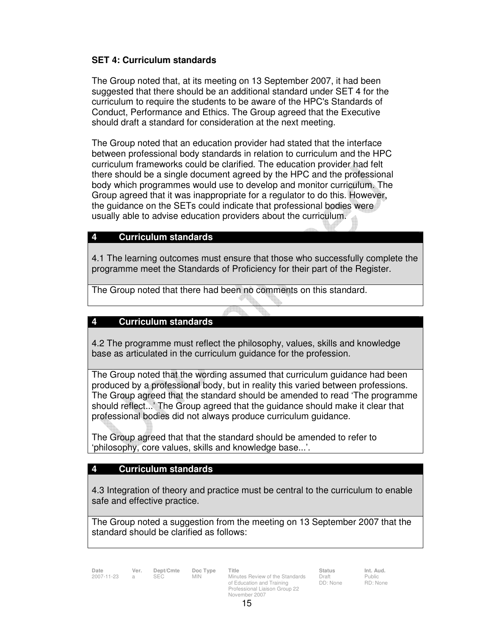## **SET 4: Curriculum standards**

The Group noted that, at its meeting on 13 September 2007, it had been suggested that there should be an additional standard under SET 4 for the curriculum to require the students to be aware of the HPC's Standards of Conduct, Performance and Ethics. The Group agreed that the Executive should draft a standard for consideration at the next meeting.

The Group noted that an education provider had stated that the interface between professional body standards in relation to curriculum and the HPC curriculum frameworks could be clarified. The education provider had felt there should be a single document agreed by the HPC and the professional body which programmes would use to develop and monitor curriculum. The Group agreed that it was inappropriate for a regulator to do this. However, the guidance on the SETs could indicate that professional bodies were usually able to advise education providers about the curriculum.

## **4 Curriculum standards**

4.1 The learning outcomes must ensure that those who successfully complete the programme meet the Standards of Proficiency for their part of the Register.

The Group noted that there had been no comments on this standard.

### **4 Curriculum standards**

4.2 The programme must reflect the philosophy, values, skills and knowledge base as articulated in the curriculum guidance for the profession.

The Group noted that the wording assumed that curriculum guidance had been produced by a professional body, but in reality this varied between professions. The Group agreed that the standard should be amended to read 'The programme should reflect...' The Group agreed that the guidance should make it clear that professional bodies did not always produce curriculum guidance.

The Group agreed that that the standard should be amended to refer to 'philosophy, core values, skills and knowledge base...'.

### **4 Curriculum standards**

4.3 Integration of theory and practice must be central to the curriculum to enable safe and effective practice.

The Group noted a suggestion from the meeting on 13 September 2007 that the standard should be clarified as follows:

**Date Ver. Dept/Cmte Doc Type Title Status Status Int. Aud.**<br>
2007-11-23 a SEC MIN Minutes Review of the Standards Draft Public Minutes Review of the Standards of Education and Training Professional Liaison Group 22 November 2007

Draft DD: None Public RD: None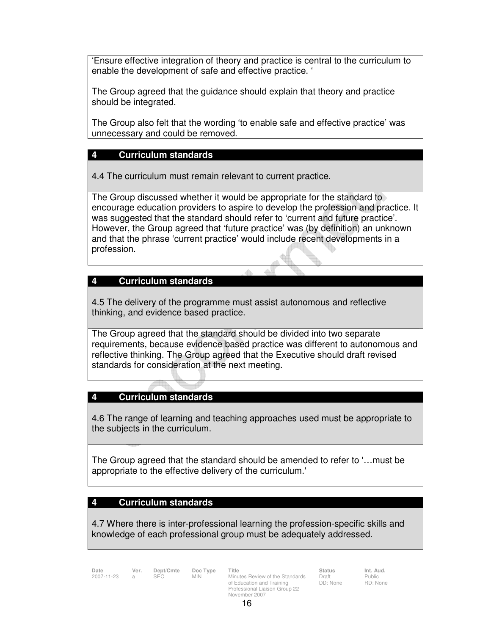'Ensure effective integration of theory and practice is central to the curriculum to enable the development of safe and effective practice. '

The Group agreed that the guidance should explain that theory and practice should be integrated.

The Group also felt that the wording 'to enable safe and effective practice' was unnecessary and could be removed.

### **4 Curriculum standards**

4.4 The curriculum must remain relevant to current practice.

The Group discussed whether it would be appropriate for the standard to encourage education providers to aspire to develop the profession and practice. It was suggested that the standard should refer to 'current and future practice'. However, the Group agreed that 'future practice' was (by definition) an unknown and that the phrase 'current practice' would include recent developments in a profession.

#### **4 Curriculum standards**

4.5 The delivery of the programme must assist autonomous and reflective thinking, and evidence based practice.

The Group agreed that the standard should be divided into two separate requirements, because evidence based practice was different to autonomous and reflective thinking. The Group agreed that the Executive should draft revised standards for consideration at the next meeting.

#### **4 Curriculum standards**

4.6 The range of learning and teaching approaches used must be appropriate to the subjects in the curriculum.

The Group agreed that the standard should be amended to refer to '…must be appropriate to the effective delivery of the curriculum.'

#### **4 Curriculum standards**

4.7 Where there is inter-professional learning the profession-specific skills and knowledge of each professional group must be adequately addressed.

**Date Ver. Dept/Cmte Doc Type Title Status Status Int. Aud.**<br>2007-11-23 a SEC MIN Minutes Review of the Standards Draft Public Minutes Review of the Standards of Education and Training Professional Liaison Group 22 November 2007

Draft DD: None Public RD: None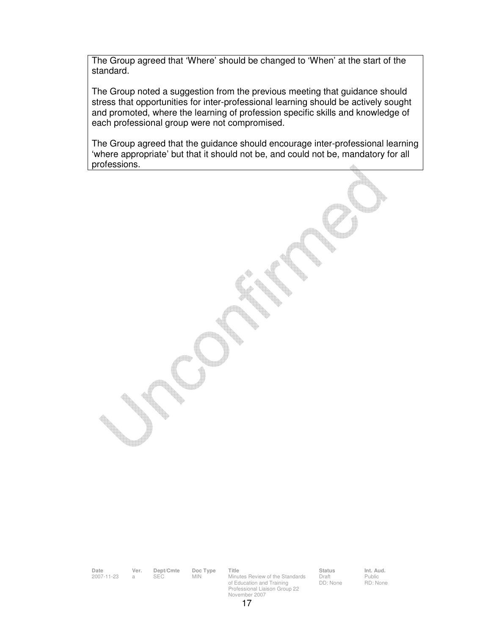The Group agreed that 'Where' should be changed to 'When' at the start of the standard.

The Group noted a suggestion from the previous meeting that guidance should stress that opportunities for inter-professional learning should be actively sought and promoted, where the learning of profession specific skills and knowledge of each professional group were not compromised.

The Group agreed that the guidance should encourage inter-professional learning 'where appropriate' but that it should not be, and could not be, mandatory for all professions.

**Date Ver. Dept/Cmte Doc Type Title Status Int. Aud.**

2007-11-23 a SEC MIN Minutes Review of the Standards of Education and Training Professional Liaison Group 22 November 2007

Draft DD: None

Public RD: None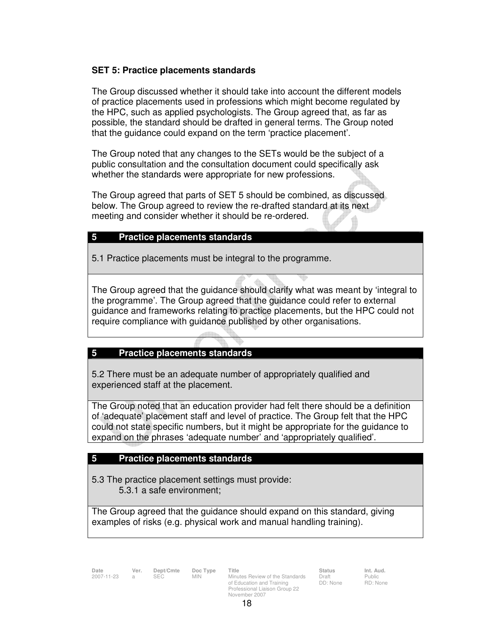### **SET 5: Practice placements standards**

The Group discussed whether it should take into account the different models of practice placements used in professions which might become regulated by the HPC, such as applied psychologists. The Group agreed that, as far as possible, the standard should be drafted in general terms. The Group noted that the guidance could expand on the term 'practice placement'.

The Group noted that any changes to the SETs would be the subject of a public consultation and the consultation document could specifically ask whether the standards were appropriate for new professions.

The Group agreed that parts of SET 5 should be combined, as discussed below. The Group agreed to review the re-drafted standard at its next meeting and consider whether it should be re-ordered.

### **5 Practice placements standards**

5.1 Practice placements must be integral to the programme.

The Group agreed that the guidance should clarify what was meant by 'integral to the programme'. The Group agreed that the guidance could refer to external guidance and frameworks relating to practice placements, but the HPC could not require compliance with guidance published by other organisations.

### **5 Practice placements standards**

5.2 There must be an adequate number of appropriately qualified and experienced staff at the placement.

The Group noted that an education provider had felt there should be a definition of 'adequate' placement staff and level of practice. The Group felt that the HPC could not state specific numbers, but it might be appropriate for the guidance to expand on the phrases 'adequate number' and 'appropriately qualified'.

### **5 Practice placements standards**

5.3 The practice placement settings must provide: 5.3.1 a safe environment;

The Group agreed that the guidance should expand on this standard, giving examples of risks (e.g. physical work and manual handling training).

**Date Ver. Dept/Cmte Doc Type Title Status Status Int. Aud.**<br>
2007-11-23 a SEC MIN Minutes Review of the Standards Draft Public Minutes Review of the Standards of Education and Training Professional Liaison Group 22 November 2007

Draft DD: None Public RD: None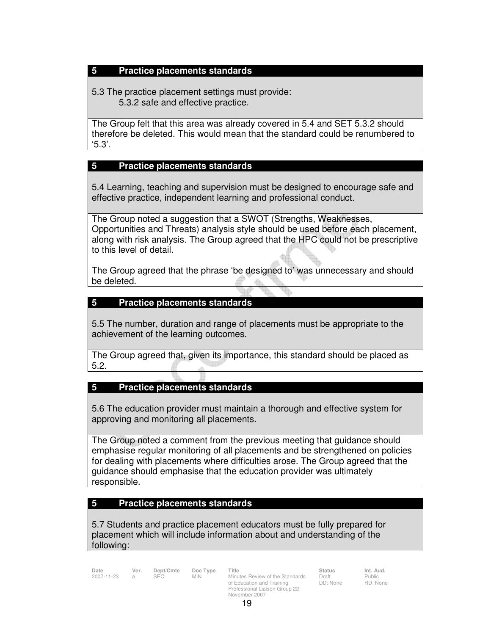### **5 Practice placements standards**

5.3 The practice placement settings must provide: 5.3.2 safe and effective practice.

The Group felt that this area was already covered in 5.4 and SET 5.3.2 should therefore be deleted. This would mean that the standard could be renumbered to '5.3'.

### **5 Practice placements standards**

5.4 Learning, teaching and supervision must be designed to encourage safe and effective practice, independent learning and professional conduct.

The Group noted a suggestion that a SWOT (Strengths, Weaknesses, Opportunities and Threats) analysis style should be used before each placement, along with risk analysis. The Group agreed that the HPC could not be prescriptive to this level of detail.

The Group agreed that the phrase 'be designed to' was unnecessary and should be deleted.

### **5 Practice placements standards**

5.5 The number, duration and range of placements must be appropriate to the achievement of the learning outcomes.

The Group agreed that, given its importance, this standard should be placed as 5.2.

### **5 Practice placements standards**

5.6 The education provider must maintain a thorough and effective system for approving and monitoring all placements.

The Group noted a comment from the previous meeting that guidance should emphasise regular monitoring of all placements and be strengthened on policies for dealing with placements where difficulties arose. The Group agreed that the guidance should emphasise that the education provider was ultimately responsible.

### **5 Practice placements standards**

5.7 Students and practice placement educators must be fully prepared for placement which will include information about and understanding of the following:

**Date Ver. Dept/Cmte Doc Type Title Status Status Int. Aud.**<br>
2007-11-23 a SEC MIN Minutes Review of the Standards Draft Public Minutes Review of the Standards of Education and Training Professional Liaison Group 22 November 2007

Draft DD: None Public RD: None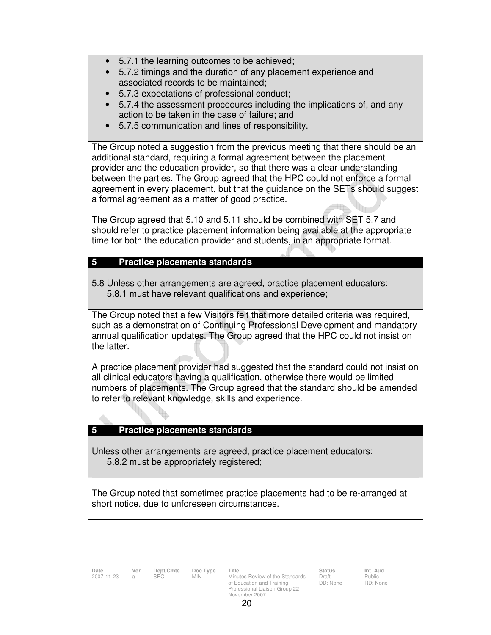- 5.7.1 the learning outcomes to be achieved;
- 5.7.2 timings and the duration of any placement experience and associated records to be maintained;
- 5.7.3 expectations of professional conduct;
- 5.7.4 the assessment procedures including the implications of, and any action to be taken in the case of failure; and
- 5.7.5 communication and lines of responsibility.

The Group noted a suggestion from the previous meeting that there should be an additional standard, requiring a formal agreement between the placement provider and the education provider, so that there was a clear understanding between the parties. The Group agreed that the HPC could not enforce a formal agreement in every placement, but that the guidance on the SETs should suggest a formal agreement as a matter of good practice.

The Group agreed that 5.10 and 5.11 should be combined with SET 5.7 and should refer to practice placement information being available at the appropriate time for both the education provider and students, in an appropriate format.

### **5 Practice placements standards**

5.8 Unless other arrangements are agreed, practice placement educators: 5.8.1 must have relevant qualifications and experience;

The Group noted that a few Visitors felt that more detailed criteria was required, such as a demonstration of Continuing Professional Development and mandatory annual qualification updates. The Group agreed that the HPC could not insist on the latter.

A practice placement provider had suggested that the standard could not insist on all clinical educators having a qualification, otherwise there would be limited numbers of placements. The Group agreed that the standard should be amended to refer to relevant knowledge, skills and experience.

### **5 Practice placements standards**

Unless other arrangements are agreed, practice placement educators: 5.8.2 must be appropriately registered;

The Group noted that sometimes practice placements had to be re-arranged at short notice, due to unforeseen circumstances.

Draft DD: None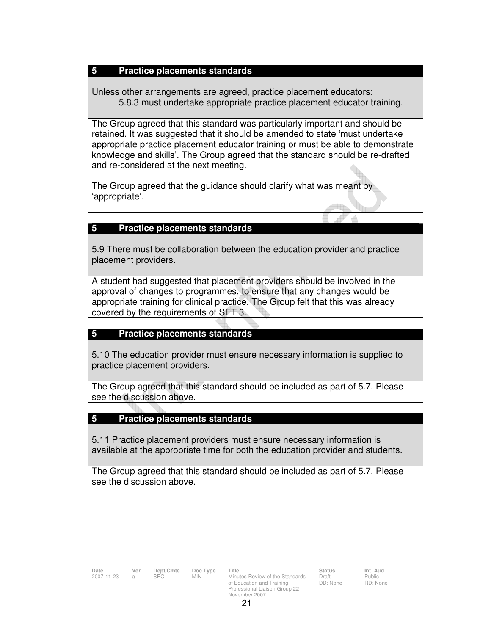### **5 Practice placements standards**

Unless other arrangements are agreed, practice placement educators: 5.8.3 must undertake appropriate practice placement educator training.

The Group agreed that this standard was particularly important and should be retained. It was suggested that it should be amended to state 'must undertake appropriate practice placement educator training or must be able to demonstrate knowledge and skills'. The Group agreed that the standard should be re-drafted and re-considered at the next meeting.

The Group agreed that the guidance should clarify what was meant by 'appropriate'.

### **5 Practice placements standards**

5.9 There must be collaboration between the education provider and practice placement providers.

A student had suggested that placement providers should be involved in the approval of changes to programmes, to ensure that any changes would be appropriate training for clinical practice. The Group felt that this was already covered by the requirements of SET 3.

## **5 Practice placements standards**

5.10 The education provider must ensure necessary information is supplied to practice placement providers.

The Group agreed that this standard should be included as part of 5.7. Please see the discussion above.

## **5 Practice placements standards**

5.11 Practice placement providers must ensure necessary information is available at the appropriate time for both the education provider and students.

The Group agreed that this standard should be included as part of 5.7. Please see the discussion above.

**Date Ver. Dept/Cmte Doc Type Title Status Status Int. Aud.**<br>
2007-11-23 a SEC MIN Minutes Review of the Standards Draft Public

Minutes Review of the Standards of Education and Training Professional Liaison Group 22

Draft DD: None Public RD: None

November 2007 21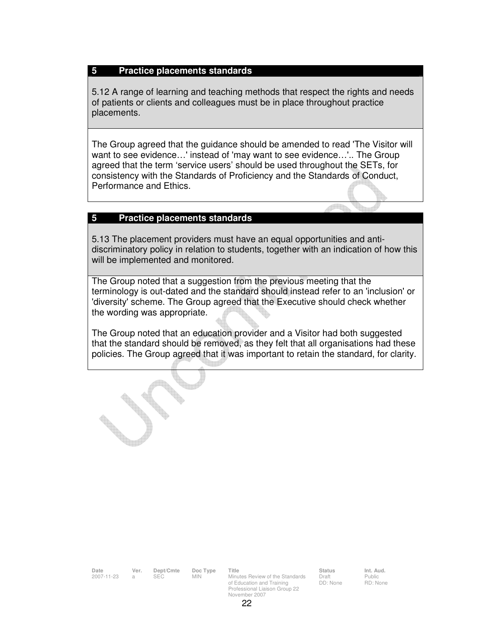#### **5 Practice placements standards**

5.12 A range of learning and teaching methods that respect the rights and needs of patients or clients and colleagues must be in place throughout practice placements.

The Group agreed that the guidance should be amended to read 'The Visitor will want to see evidence…' instead of 'may want to see evidence…'.. The Group agreed that the term 'service users' should be used throughout the SETs, for consistency with the Standards of Proficiency and the Standards of Conduct, Performance and Ethics.

#### **5 Practice placements standards**

5.13 The placement providers must have an equal opportunities and antidiscriminatory policy in relation to students, together with an indication of how this will be implemented and monitored.

The Group noted that a suggestion from the previous meeting that the terminology is out-dated and the standard should instead refer to an 'inclusion' or 'diversity' scheme. The Group agreed that the Executive should check whether the wording was appropriate.

The Group noted that an education provider and a Visitor had both suggested that the standard should be removed, as they felt that all organisations had these policies. The Group agreed that it was important to retain the standard, for clarity.

**Date Ver. Dept/Cmte Doc Type Title Status Int. Aud.**

2007-11-23 a SEC MIN Minutes Review of the Standards of Education and Training Professional Liaison Group 22 November 2007

Draft DD: None Public RD: None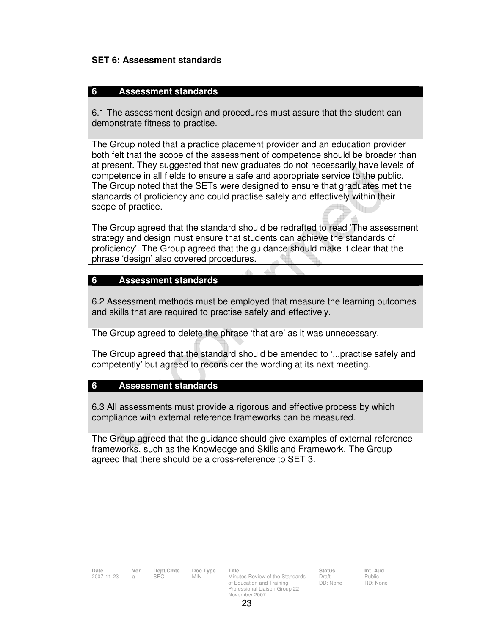### **SET 6: Assessment standards**

### **6 Assessment standards**

6.1 The assessment design and procedures must assure that the student can demonstrate fitness to practise.

The Group noted that a practice placement provider and an education provider both felt that the scope of the assessment of competence should be broader than at present. They suggested that new graduates do not necessarily have levels of competence in all fields to ensure a safe and appropriate service to the public. The Group noted that the SETs were designed to ensure that graduates met the standards of proficiency and could practise safely and effectively within their scope of practice.

The Group agreed that the standard should be redrafted to read 'The assessment strategy and design must ensure that students can achieve the standards of proficiency'. The Group agreed that the guidance should make it clear that the phrase 'design' also covered procedures.

### **6 Assessment standards**

6.2 Assessment methods must be employed that measure the learning outcomes and skills that are required to practise safely and effectively.

The Group agreed to delete the phrase 'that are' as it was unnecessary.

The Group agreed that the standard should be amended to '...practise safely and competently' but agreed to reconsider the wording at its next meeting.

### **6 Assessment standards**

6.3 All assessments must provide a rigorous and effective process by which compliance with external reference frameworks can be measured.

The Group agreed that the guidance should give examples of external reference frameworks, such as the Knowledge and Skills and Framework. The Group agreed that there should be a cross-reference to SET 3.

| Dept/Cmte<br>Title<br><b>Status</b><br>Date<br>Ver.<br>Doc Type<br>2007-11-23<br><b>SEC</b><br>Minutes Review of the Standards<br><b>MIN</b><br>Draft<br>a<br>DD: None<br>of Education and Training |                                        |
|-----------------------------------------------------------------------------------------------------------------------------------------------------------------------------------------------------|----------------------------------------|
| Professional Liaison Group 22<br>November 2007                                                                                                                                                      | Int. Aud.<br><b>Public</b><br>RD: None |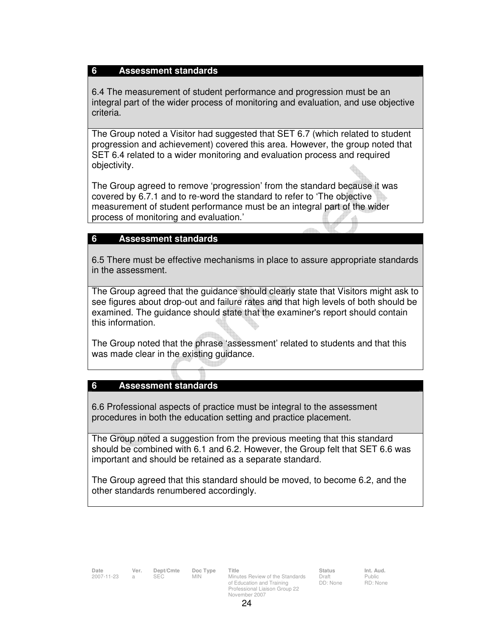#### **6 Assessment standards**

6.4 The measurement of student performance and progression must be an integral part of the wider process of monitoring and evaluation, and use objective criteria.

The Group noted a Visitor had suggested that SET 6.7 (which related to student progression and achievement) covered this area. However, the group noted that SET 6.4 related to a wider monitoring and evaluation process and required objectivity.

The Group agreed to remove 'progression' from the standard because it was covered by 6.7.1 and to re-word the standard to refer to 'The objective measurement of student performance must be an integral part of the wider process of monitoring and evaluation.'

### **6 Assessment standards**

6.5 There must be effective mechanisms in place to assure appropriate standards in the assessment.

The Group agreed that the guidance should clearly state that Visitors might ask to see figures about drop-out and failure rates and that high levels of both should be examined. The guidance should state that the examiner's report should contain this information.

The Group noted that the phrase 'assessment' related to students and that this was made clear in the existing guidance.

### **6 Assessment standards**

6.6 Professional aspects of practice must be integral to the assessment procedures in both the education setting and practice placement.

The Group noted a suggestion from the previous meeting that this standard should be combined with 6.1 and 6.2. However, the Group felt that SET 6.6 was important and should be retained as a separate standard.

The Group agreed that this standard should be moved, to become 6.2, and the other standards renumbered accordingly.

Draft DD: None Public RD: None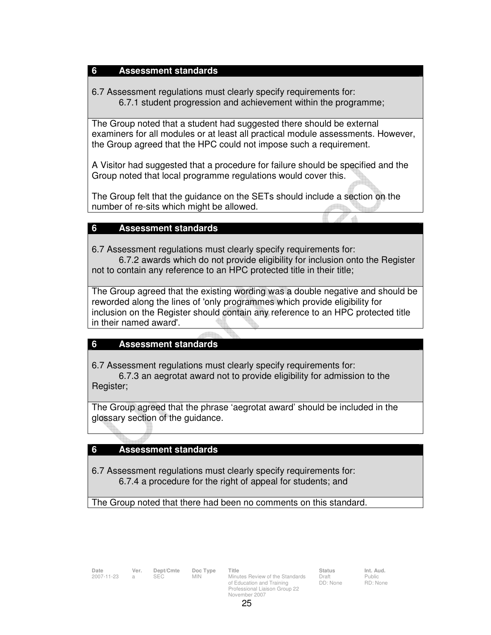### **6 Assessment standards**

6.7 Assessment regulations must clearly specify requirements for: 6.7.1 student progression and achievement within the programme;

The Group noted that a student had suggested there should be external examiners for all modules or at least all practical module assessments. However, the Group agreed that the HPC could not impose such a requirement.

A Visitor had suggested that a procedure for failure should be specified and the Group noted that local programme regulations would cover this.

The Group felt that the guidance on the SETs should include a section on the number of re-sits which might be allowed. din.

#### **6 Assessment standards**

6.7 Assessment regulations must clearly specify requirements for:

 6.7.2 awards which do not provide eligibility for inclusion onto the Register not to contain any reference to an HPC protected title in their title;

 The Group agreed that the existing wording was a double negative and should be reworded along the lines of 'only programmes which provide eligibility for inclusion on the Register should contain any reference to an HPC protected title in their named award'.

#### **6 Assessment standards**

6.7 Assessment regulations must clearly specify requirements for:

 6.7.3 an aegrotat award not to provide eligibility for admission to the Register;

The Group agreed that the phrase 'aegrotat award' should be included in the glossary section of the guidance.

### **6 Assessment standards**

6.7 Assessment regulations must clearly specify requirements for: 6.7.4 a procedure for the right of appeal for students; and

The Group noted that there had been no comments on this standard.

**Date Ver. Dept/Cmte Doc Type Title Status Status Int. Aud.**<br>
2007-11-23 a SEC MIN Minutes Review of the Standards Draft Public Minutes Review of the Standards of Education and Training Professional Liaison Group 22 November 2007

Draft DD: None Public RD: None